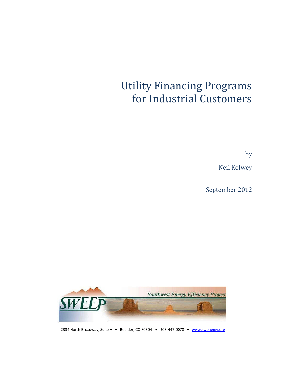# Utility Financing Programs for Industrial Customers

by

Neil Kolwey

September 2012



2334 North Broadway, Suite A . Boulder, CO 80304 . 303-447-0078 . [www.swenergy.org](http://www.swenergy.org/)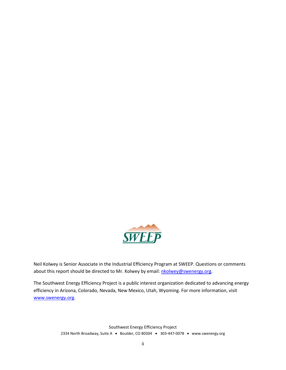

Neil Kolwey is Senior Associate in the Industrial Efficiency Program at SWEEP. Questions or comments about this report should be directed to Mr. Kolwey by email: [nkolwey@swenergy.org.](mailto:nkolwey@swenergy.org)

The Southwest Energy Efficiency Project is a public interest organization dedicated to advancing energy efficiency in Arizona, Colorado, Nevada, New Mexico, Utah, Wyoming. For more information, visit [www.swenergy.org.](http://www.swenergy.org/)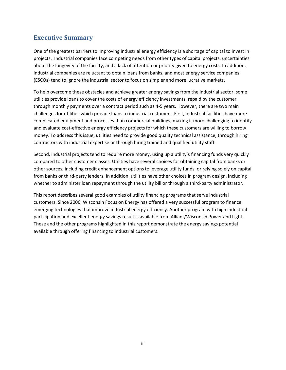# <span id="page-2-0"></span>**Executive Summary**

One of the greatest barriers to improving industrial energy efficiency is a shortage of capital to invest in projects. Industrial companies face competing needs from other types of capital projects, uncertainties about the longevity of the facility, and a lack of attention or priority given to energy costs. In addition, industrial companies are reluctant to obtain loans from banks, and most energy service companies (ESCOs) tend to ignore the industrial sector to focus on simpler and more lucrative markets.

To help overcome these obstacles and achieve greater energy savings from the industrial sector, some utilities provide loans to cover the costs of energy efficiency investments, repaid by the customer through monthly payments over a contract period such as 4-5 years. However, there are two main challenges for utilities which provide loans to industrial customers. First, industrial facilities have more complicated equipment and processes than commercial buildings, making it more challenging to identify and evaluate cost-effective energy efficiency projects for which these customers are willing to borrow money. To address this issue, utilities need to provide good quality technical assistance, through hiring contractors with industrial expertise or through hiring trained and qualified utility staff.

Second, industrial projects tend to require more money, using up a utility's financing funds very quickly compared to other customer classes. Utilities have several choices for obtaining capital from banks or other sources, including credit enhancement options to leverage utility funds, or relying solely on capital from banks or third-party lenders. In addition, utilities have other choices in program design, including whether to administer loan repayment through the utility bill or through a third-party administrator.

This report describes several good examples of utility financing programs that serve industrial customers. Since 2006, Wisconsin Focus on Energy has offered a very successful program to finance emerging technologies that improve industrial energy efficiency. Another program with high industrial participation and excellent energy savings result is available from Alliant/Wisconsin Power and Light. These and the other programs highlighted in this report demonstrate the energy savings potential available through offering financing to industrial customers.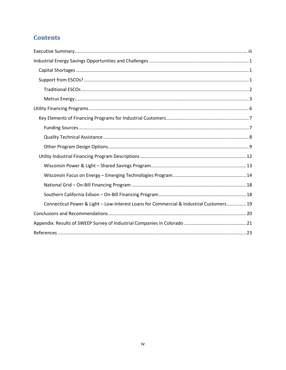# **Contents**

| Connecticut Power & Light - Low-Interest Loans for Commercial & Industrial Customers 19 |  |
|-----------------------------------------------------------------------------------------|--|
|                                                                                         |  |
|                                                                                         |  |
|                                                                                         |  |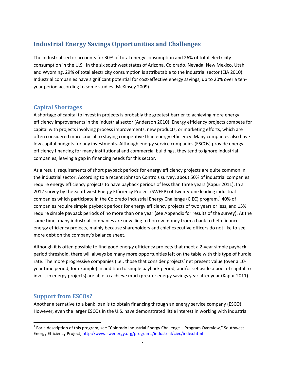# <span id="page-4-0"></span>**Industrial Energy Savings Opportunities and Challenges**

The industrial sector accounts for 30% of total energy consumption and 26% of total electricity consumption in the U.S. In the six southwest states of Arizona, Colorado, Nevada, New Mexico, Utah, and Wyoming, 29% of total electricity consumption is attributable to the industrial sector (EIA 2010). Industrial companies have significant potential for cost-effective energy savings, up to 20% over a tenyear period according to some studies (McKinsey 2009).

# <span id="page-4-1"></span>**Capital Shortages**

A shortage of capital to invest in projects is probably the greatest barrier to achieving more energy efficiency improvements in the industrial sector (Anderson 2010). Energy efficiency projects compete for capital with projects involving process improvements, new products, or marketing efforts, which are often considered more crucial to staying competitive than energy efficiency. Many companies also have low capital budgets for any investments. Although energy service companies (ESCOs) provide energy efficiency financing for many institutional and commercial buildings, they tend to ignore industrial companies, leaving a gap in financing needs for this sector.

As a result, requirements of short payback periods for energy efficiency projects are quite common in the industrial sector. According to a recent Johnson Controls survey, about 50% of industrial companies require energy efficiency projects to have payback periods of less than three years (Kapur 2011). In a 2012 survey by the Southwest Energy Efficiency Project (SWEEP) of twenty-one leading industrial companies which participate in the Colorado Industrial Energy Challenge (CIEC) program,<sup>1</sup> 40% of companies require simple payback periods for energy efficiency projects of two years or less, and 15% require simple payback periods of no more than one year (see Appendix for results of the survey). At the same time, many industrial companies are unwilling to borrow money from a bank to help finance energy efficiency projects, mainly because shareholders and chief executive officers do not like to see more debt on the company's balance sheet.

Although it is often possible to find good energy efficiency projects that meet a 2-year simple payback period threshold, there will always be many more opportunities left on the table with this type of hurdle rate. The more progressive companies (i.e., those that consider projects' net present value (over a 10 year time period, for example) in addition to simple payback period, and/or set aside a pool of capital to invest in energy projects) are able to achieve much greater energy savings year after year (Kapur 2011).

## <span id="page-4-2"></span>**Support from ESCOs?**

l

Another alternative to a bank loan is to obtain financing through an energy service company (ESCO). However, even the larger ESCOs in the U.S. have demonstrated little interest in working with industrial

 $^1$  For a description of this program, see "Colorado Industrial Energy Challenge – Program Overview," Southwest Energy Efficiency Project,<http://www.swenergy.org/programs/industrial/ciec/index.html>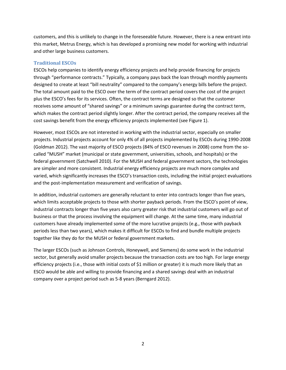customers, and this is unlikely to change in the foreseeable future. However, there is a new entrant into this market, Metrus Energy, which is has developed a promising new model for working with industrial and other large business customers.

## <span id="page-5-0"></span>**Traditional ESCOs**

ESCOs help companies to identify energy efficiency projects and help provide financing for projects through "performance contracts." Typically, a company pays back the loan through monthly payments designed to create at least "bill neutrality" compared to the company's energy bills before the project. The total amount paid to the ESCO over the term of the contract period covers the cost of the project plus the ESCO's fees for its services. Often, the contract terms are designed so that the customer receives some amount of "shared savings" or a minimum savings guarantee during the contract term, which makes the contract period slightly longer. After the contract period, the company receives all the cost savings benefit from the energy efficiency projects implemented (see Figure 1).

However, most ESCOs are not interested in working with the industrial sector, especially on smaller projects. Industrial projects account for only 4% of all projects implemented by ESCOs during 1990-2008 (Goldman 2012). The vast majority of ESCO projects (84% of ESCO revenues in 2008) come from the socalled "MUSH" market (municipal or state government, universities, schools, and hospitals) or the federal government (Satchwell 2010). For the MUSH and federal government sectors, the technologies are simpler and more consistent. Industrial energy efficiency projects are much more complex and varied, which significantly increases the ESCO's transaction costs, including the initial project evaluations and the post-implementation measurement and verification of savings.

In addition, industrial customers are generally reluctant to enter into contracts longer than five years, which limits acceptable projects to those with shorter payback periods. From the ESCO's point of view, industrial contracts longer than five years also carry greater risk that industrial customers will go out of business or that the process involving the equipment will change. At the same time, many industrial customers have already implemented some of the more lucrative projects (e.g., those with payback periods less than two years), which makes it difficult for ESCOs to find and bundle multiple projects together like they do for the MUSH or federal government markets.

The larger ESCOs (such as Johnson Controls, Honeywell, and Siemens) do some work in the industrial sector, but generally avoid smaller projects because the transaction costs are too high. For large energy efficiency projects (i.e., those with initial costs of \$1 million or greater) it is much more likely that an ESCO would be able and willing to provide financing and a shared savings deal with an industrial company over a project period such as 5-8 years (Berngard 2012).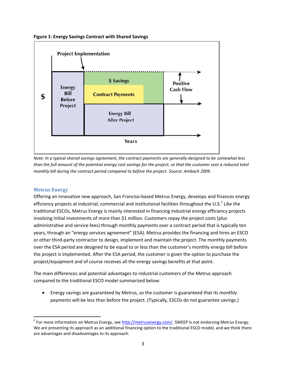



*Note: In a typical shared savings agreement, the contract payments are generally designed to be somewhat less than the full amount of the potential energy cost savings for the project, so that the customer sees a reduced total monthly bill during the contract period compared to before the project. Source: Ambach 2009.*

## <span id="page-6-0"></span>**Metrus Energy**

 $\overline{\phantom{a}}$ 

Offering an innovative new approach, San Franciso-based Metrus Energy, develops and finances energy efficiency projects at industrial, commercial and institutional facilities throughout the U.S.<sup>2</sup> Like the traditional ESCOs, Metrus Energy is mainly interested in financing industrial energy efficiency projects involving initial investments of more than \$1 million. Customers repay the project costs (plus administrative and service fees) through monthly payments over a contract period that is typically ten years, through an "energy services agreement" (ESA). Metrus provides the financing and hires an ESCO or other third-party contractor to design, implement and maintain the project. The monthly payments over the ESA period are designed to be equal to or less than the customer's monthly energy bill before the project is implemented. After the ESA period, the customer is given the option to purchase the project/equipment and of course receives all the energy savings benefits at that point.

The main differences and potential advantages to industrial customers of the Metrus approach compared to the traditional ESCO model summarized below:

 Energy savings are guaranteed by Metrus, so the customer is guaranteed that its monthly payments will be less than before the project. (Typically, ESCOs do not guarantee savings.)

<sup>&</sup>lt;sup>2</sup> For more information on Metrus Energy, see [http://metrusenergy.com/.](http://metrusenergy.com/) SWEEP is not endorsing Metrus Energy. We are presenting its approach as an additional financing option to the traditional ESCO model, and we think there are advantages and disadvantages to its approach.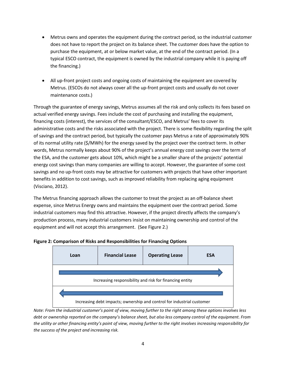- Metrus owns and operates the equipment during the contract period, so the industrial customer does not have to report the project on its balance sheet. The customer does have the option to purchase the equipment, at or below market value, at the end of the contract period. (In a typical ESCO contract, the equipment is owned by the industrial company while it is paying off the financing.)
- All up-front project costs and ongoing costs of maintaining the equipment are covered by Metrus. (ESCOs do not always cover all the up-front project costs and usually do not cover maintenance costs.)

Through the guarantee of energy savings, Metrus assumes all the risk and only collects its fees based on actual verified energy savings. Fees include the cost of purchasing and installing the equipment, financing costs (interest), the services of the consultant/ESCO, and Metrus' fees to cover its administrative costs and the risks associated with the project. There is some flexibility regarding the split of savings and the contract period, but typically the customer pays Metrus a rate of approximately 90% of its normal utility rate (\$/MWh) for the energy saved by the project over the contract term. In other words, Metrus normally keeps about 90% of the project's annual energy cost savings over the term of the ESA, and the customer gets about 10%, which might be a smaller share of the projects' potential energy cost savings than many companies are willing to accept. However, the guarantee of some cost savings and no up-front costs may be attractive for customers with projects that have other important benefits in addition to cost savings, such as improved reliability from replacing aging equipment (Visciano, 2012).

The Metrus financing approach allows the customer to treat the project as an off-balance sheet expense, since Metrus Energy owns and maintains the equipment over the contract period. Some industrial customers may find this attractive. However, if the project directly affects the company's production process, many industrial customers insist on maintaining ownership and control of the equipment and will not accept this arrangement. (See Figure 2.)



**Figure 2: Comparison of Risks and Responsibilities for Financing Options**

*Note: From the industrial customer's point of view, moving further to the right among these options involves less debt or ownership reported on the company's balance sheet, but also less company control of the equipment. From the utility or other financing entity's point of view, moving further to the right involves increasing responsibility for the success of the project and increasing risk.*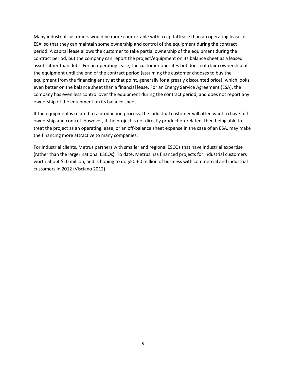Many industrial customers would be more comfortable with a capital lease than an operating lease or ESA, so that they can maintain some ownership and control of the equipment during the contract period. A capital lease allows the customer to take partial ownership of the equipment during the contract period, but the company can report the project/equipment on its balance sheet as a leased asset rather than debt. For an operating lease, the customer operates but does not claim ownership of the equipment until the end of the contract period (assuming the customer chooses to buy the equipment from the financing entity at that point, generally for a greatly discounted price), which looks even better on the balance sheet than a financial lease. For an Energy Service Agreement (ESA), the company has even less control over the equipment during the contract period, and does not report any ownership of the equipment on its balance sheet.

If the equipment is related to a production process, the industrial customer will often want to have full ownership and control. However, if the project is not directly production-related, then being able to treat the project as an operating lease, or an off-balance sheet expense in the case of an ESA, may make the financing more attractive to many companies.

For industrial clients, Metrus partners with smaller and regional ESCOs that have industrial expertise (rather than the larger national ESCOs). To date, Metrus has financed projects for industrial customers worth about \$10 million, and is hoping to do \$50-60 million of business with commercial and industrial customers in 2012 (Visciano 2012).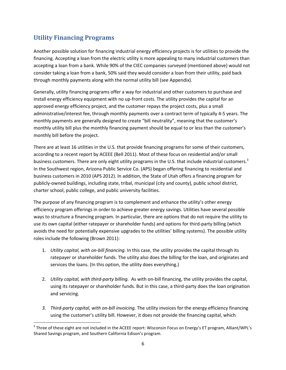# <span id="page-9-0"></span>**Utility Financing Programs**

l

Another possible solution for financing industrial energy efficiency projects is for utilities to provide the financing. Accepting a loan from the electric utility is more appealing to many industrial customers than accepting a loan from a bank. While 90% of the CIEC companies surveyed (mentioned above) would not consider taking a loan from a bank, 50% said they would consider a loan from their utility, paid back through monthly payments along with the normal utility bill (see Appendix).

Generally, utility financing programs offer a way for industrial and other customers to purchase and install energy efficiency equipment with no up-front costs. The utility provides the capital for an approved energy efficiency project, and the customer repays the project costs, plus a small administrative/interest fee, through monthly payments over a contract term of typically 4-5 years. The monthly payments are generally designed to create "bill neutrality", meaning that the customer's monthly utility bill plus the monthly financing payment should be equal to or less than the customer's monthly bill before the project.

There are at least 16 utilities in the U.S. that provide financing programs for some of their customers, according to a recent report by ACEEE (Bell 2011). Most of these focus on residential and/or small business customers. There are only eight utility programs in the U.S. that include industrial customers.<sup>3</sup> In the Southwest region, Arizona Public Service Co. (APS) began offering financing to residential and business customers in 2010 (APS 2012). In addition, the State of Utah offers a financing program for publicly-owned buildings, including state, tribal, municipal (city and county), public school district, charter school, public college, and public university facilities.

The purpose of any financing program is to complement and enhance the utility's other energy efficiency program offerings in order to achieve greater energy savings. Utilities have several possible ways to structure a financing program. In particular, there are options that do not require the utility to use its own capital (either ratepayer or shareholder funds) and options for third-party billing (which avoids the need for potentially expensive upgrades to the utilities' billing systems). The possible utility roles include the following (Brown 2011):

- 1. *Utility capital, with on-bill financing.* In this case, the utility provides the capital through its ratepayer or shareholder funds. The utility also does the billing for the loan, and originates and services the loans. (In this option, the utility does everything.)
- 2. *Utility capital, with third-party billing.* As with on-bill financing, the utility provides the capital, using its ratepayer or shareholder funds. But in this case, a third-party does the loan origination and servicing.
- *3. Third-party capital, with on-bill invoicing.* The utility invoices for the energy efficiency financing using the customer's utility bill. However, it does not provide the financing capital, which

 $^3$  Three of these eight are not included in the ACEEE report: Wisconsin Focus on Energy's ET program, Alliant/WPL's Shared Savings program, and Southern California Edison's program.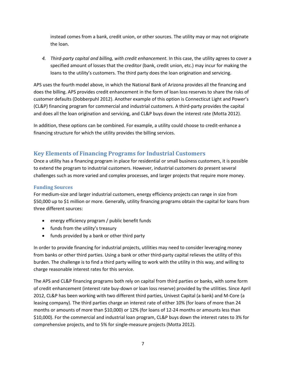instead comes from a bank, credit union, or other sources. The utility may or may not originate the loan.

*4. Third-party capital and billing, with credit enhancement.* In this case, the utility agrees to cover a specified amount of losses that the creditor (bank, credit union, etc.) may incur for making the loans to the utility's customers. The third party does the loan origination and servicing.

APS uses the fourth model above, in which the National Bank of Arizona provides all the financing and does the billing. APS provides credit enhancement in the form of loan loss reserves to share the risks of customer defaults (Dobberpuhl 2012). Another example of this option is Connecticut Light and Power's (CL&P) financing program for commercial and industrial customers. A third-party provides the capital and does all the loan origination and servicing, and CL&P buys down the interest rate (Motta 2012).

In addition, these options can be combined. For example, a utility could choose to credit-enhance a financing structure for which the utility provides the billing services.

## <span id="page-10-0"></span>**Key Elements of Financing Programs for Industrial Customers**

Once a utility has a financing program in place for residential or small business customers, it is possible to extend the program to industrial customers. However, industrial customers do present several challenges such as more varied and complex processes, and larger projects that require more money.

## <span id="page-10-1"></span>**Funding Sources**

For medium-size and larger industrial customers, energy efficiency projects can range in size from \$50,000 up to \$1 million or more. Generally, utility financing programs obtain the capital for loans from three different sources:

- energy efficiency program / public benefit funds
- funds from the utility's treasury
- funds provided by a bank or other third party

In order to provide financing for industrial projects, utilities may need to consider leveraging money from banks or other third parties. Using a bank or other third-party capital relieves the utility of this burden. The challenge is to find a third party willing to work with the utility in this way, and willing to charge reasonable interest rates for this service.

The APS and CL&P financing programs both rely on capital from third parties or banks, with some form of credit enhancement (interest rate buy-down or loan loss reserve) provided by the utilities. Since April 2012, CL&P has been working with two different third parties, Univest Capital (a bank) and M-Core (a leasing company). The third parties charge an interest rate of either 10% (for loans of more than 24 months or amounts of more than \$10,000) or 12% (for loans of 12-24 months or amounts less than \$10,000). For the commercial and industrial loan program, CL&P buys down the interest rates to 3% for comprehensive projects, and to 5% for single-measure projects (Motta 2012).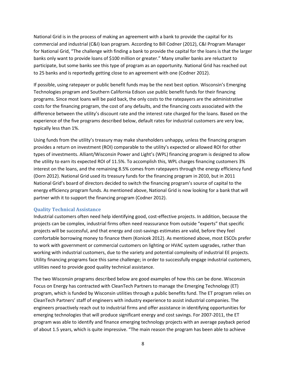National Grid is in the process of making an agreement with a bank to provide the capital for its commercial and industrial (C&I) loan program. According to Bill Codner (2012), C&I Program Manager for National Grid, "The challenge with finding a bank to provide the capital for the loans is that the larger banks only want to provide loans of \$100 million or greater." Many smaller banks are reluctant to participate, but some banks see this type of program as an opportunity. National Grid has reached out to 25 banks and is reportedly getting close to an agreement with one (Codner 2012).

If possible, using ratepayer or public benefit funds may be the next best option. Wisconsin's Emerging Technologies program and Southern California Edison use public benefit funds for their financing programs. Since most loans will be paid back, the only costs to the ratepayers are the administrative costs for the financing program, the cost of any defaults, and the financing costs associated with the difference between the utility's discount rate and the interest rate charged for the loans. Based on the experience of the five programs described below, default rates for industrial customers are very low, typically less than 1%.

Using funds from the utility's treasury may make shareholders unhappy, unless the financing program provides a return on investment (ROI) comparable to the utility's expected or allowed ROI for other types of investments. Alliant/Wisconsin Power and Light's (WPL) financing program is designed to allow the utility to earn its expected ROI of 11.5%. To accomplish this, WPL charges financing customers 3% interest on the loans, and the remaining 8.5% comes from ratepayers through the energy efficiency fund (Dorn 2012). National Grid used its treasury funds for the financing program in 2010, but in 2011 National Grid's board of directors decided to switch the financing program's source of capital to the energy efficiency program funds. As mentioned above, National Grid is now looking for a bank that will partner with it to support the financing program (Codner 2012).

#### <span id="page-11-0"></span>**Quality Technical Assistance**

Industrial customers often need help identifying good, cost-effective projects. In addition, because the projects can be complex, industrial firms often need reassurance from outside "experts" that specific projects will be successful, and that energy and cost-savings estimates are valid, before they feel comfortable borrowing money to finance them (Konicek 2012). As mentioned above, most ESCOs prefer to work with government or commercial customers on lighting or HVAC system upgrades, rather than working with industrial customers, due to the variety and potential complexity of industrial EE projects. Utility financing programs face this same challenge; in order to successfully engage industrial customers, utilities need to provide good quality technical assistance.

The two Wisconsin programs described below are good examples of how this can be done. Wisconsin Focus on Energy has contracted with CleanTech Partners to manage the Emerging Technology (ET) program, which is funded by Wisconsin utilities through a public benefits fund. The ET program relies on CleanTech Partners' staff of engineers with industry experience to assist industrial companies. The engineers proactively reach out to industrial firms and offer assistance in identifying opportunities for emerging technologies that will produce significant energy and cost savings. For 2007-2011, the ET program was able to identify and finance emerging technology projects with an average payback period of about 1.5 years, which is quite impressive. "The main reason the program has been able to achieve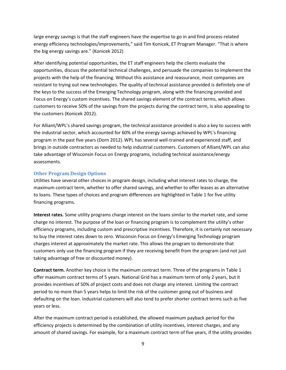large energy savings is that the staff engineers have the expertise to go in and find process-related energy efficiency technologies/improvements," said Tim Konicek, ET Program Manager. "That is where the big energy savings are." (Konicek 2012)

After identifying potential opportunities, the ET staff engineers help the clients evaluate the opportunities, discuss the potential technical challenges, and persuade the companies to implement the projects with the help of the financing. Without this assistance and reassurance, most companies are resistant to trying out new technologies. The quality of technical assistance provided is definitely one of the keys to the success of the Emerging Technology program, along with the financing provided and Focus on Energy's custom incentives. The shared savings element of the contract terms, which allows customers to receive 50% of the savings from the projects during the contract term, is also appealing to the customers (Konicek 2012).

For Alliant/WPL's shared savings program, the technical assistance provided is also a key to success with the industrial sector, which accounted for 60% of the energy savings achieved by WPL's financing program in the past five years (Dorn 2012).WPL has several well-trained and experienced staff, and brings in outside contractors as needed to help industrial customers. Customers of Alliant/WPL can also take advantage of Wisconsin Focus on Energy programs, including technical assistance/energy assessments.

#### <span id="page-12-0"></span>**Other Program Design Options**

Utilities have several other choices in program design, including what interest rates to charge, the maximum contract term, whether to offer shared savings, and whether to offer leases as an alternative to loans. These types of choices and program differences are highlighted in Table 1 for five utility financing programs.

**Interest rates.** Some utility programs charge interest on the loans similar to the market rate, and some charge no interest. The purpose of the loan or financing program is to complement the utility's other efficiency programs, including custom and prescriptive incentives. Therefore, it is certainly not necessary to buy the interest rates down to zero. Wisconsin Focus on Energy's Emerging Technology program charges interest at approximately the market rate. This allows the program to demonstrate that customers only use the financing program if they are receiving benefit from the program (and not just taking advantage of free or discounted money).

**Contract term.** Another key choice is the maximum contract term. Three of the programs in Table 1 offer maximum contract terms of 5 years. National Grid has a maximum term of only 2 years, but it provides incentives of 50% of project costs and does not charge any interest. Limiting the contract period to no more than 5 years helps to limit the risk of the customer going out of business and defaulting on the loan. Industrial customers will also tend to prefer shorter contract terms such as five years or less.

After the maximum contract period is established, the allowed maximum payback period for the efficiency projects is determined by the combination of utility incentives, interest charges, and any amount of shared savings. For example, for a maximum contract term of five years, if the utility provides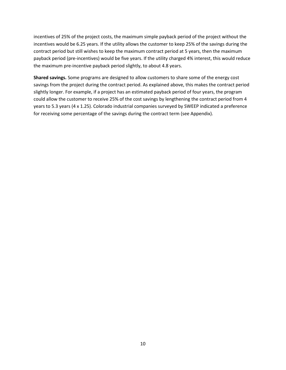incentives of 25% of the project costs, the maximum simple payback period of the project without the incentives would be 6.25 years. If the utility allows the customer to keep 25% of the savings during the contract period but still wishes to keep the maximum contract period at 5 years, then the maximum payback period (pre-incentives) would be five years. If the utility charged 4% interest, this would reduce the maximum pre-incentive payback period slightly, to about 4.8 years.

**Shared savings.** Some programs are designed to allow customers to share some of the energy cost savings from the project during the contract period. As explained above, this makes the contract period slightly longer. For example, if a project has an estimated payback period of four years, the program could allow the customer to receive 25% of the cost savings by lengthening the contract period from 4 years to 5.3 years (4 x 1.25). Colorado industrial companies surveyed by SWEEP indicated a preference for receiving some percentage of the savings during the contract term (see Appendix).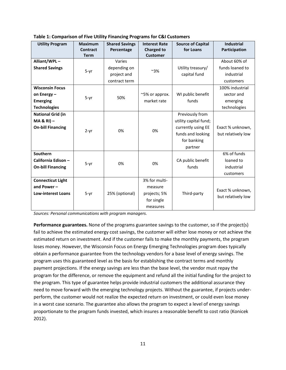| <b>Utility Program</b>    | <b>Maximum</b><br><b>Contract</b> | <b>Shared Savings</b><br>Percentage | <b>Interest Rate</b><br><b>Charged to</b> | <b>Source of Capital</b><br>for Loans | <b>Industrial</b><br>Participation |
|---------------------------|-----------------------------------|-------------------------------------|-------------------------------------------|---------------------------------------|------------------------------------|
|                           | <b>Term</b>                       |                                     | <b>Customer</b>                           |                                       |                                    |
| Alliant/WPL-              |                                   | Varies                              |                                           |                                       | About 60% of                       |
| <b>Shared Savings</b>     | $5-yr$                            | depending on                        | ~3%                                       | Utility treasury/                     | funds loaned to                    |
|                           |                                   | project and                         |                                           | capital fund                          | industrial                         |
|                           |                                   | contract term                       |                                           |                                       | customers                          |
| <b>Wisconsin Focus</b>    |                                   |                                     |                                           |                                       | 100% industrial                    |
| on Energy-                | $5-yr$                            | 50%                                 | ~5% or approx.                            | WI public benefit                     | sector and                         |
| <b>Emerging</b>           |                                   |                                     | market rate                               | funds                                 | emerging                           |
| <b>Technologies</b>       |                                   |                                     |                                           |                                       | technologies                       |
| <b>National Grid (in</b>  |                                   |                                     |                                           | Previously from                       |                                    |
| $MA & R1$ ) -             |                                   |                                     |                                           | utility capital fund;                 |                                    |
| <b>On-bill Financing</b>  |                                   | 0%<br>0%                            |                                           | currently using EE                    | Exact % unknown,                   |
|                           | $2-yr$                            |                                     | funds and looking                         | but relatively low                    |                                    |
|                           |                                   |                                     |                                           | for banking                           |                                    |
|                           |                                   |                                     |                                           | partner                               |                                    |
| Southern                  |                                   |                                     |                                           |                                       | 6% of funds                        |
| California Edison -       | $5-yr$                            | 0%                                  | 0%                                        | CA public benefit                     | loaned to                          |
| <b>On-bill Financing</b>  |                                   |                                     |                                           | funds                                 | industrial                         |
|                           |                                   |                                     |                                           |                                       | customers                          |
| <b>Connecticut Light</b>  |                                   |                                     | 3% for multi-                             |                                       |                                    |
| and Power $-$             |                                   |                                     | measure                                   |                                       |                                    |
| <b>Low-interest Loans</b> | $5-yr$                            | 25% (optional)                      | projects; 5%                              | Third-party                           | Exact % unknown,                   |
|                           |                                   |                                     | for single                                |                                       | but relatively low                 |
|                           |                                   |                                     | measures                                  |                                       |                                    |

**Table 1: Comparison of Five Utility Financing Programs for C&I Customers**

*Sources: Personal communications with program managers.*

**Performance guarantees.** None of the programs guarantee savings to the customer, so if the project(s) fail to achieve the estimated energy cost savings, the customer will either lose money or not achieve the estimated return on investment. And if the customer fails to make the monthly payments, the program loses money. However, the Wisconsin Focus on Energy Emerging Technologies program does typically obtain a performance guarantee from the technology vendors for a base level of energy savings. The program uses this guaranteed level as the basis for establishing the contract terms and monthly payment projections. If the energy savings are less than the base level, the vendor must repay the program for the difference, or remove the equipment and refund all the initial funding for the project to the program. This type of guarantee helps provide industrial customers the additional assurance they need to move forward with the emerging technology projects. Without the guarantee, if projects underperform, the customer would not realize the expected return on investment, or could even lose money in a worst case scenario. The guarantee also allows the program to expect a level of energy savings proportionate to the program funds invested, which insures a reasonable benefit to cost ratio (Konicek 2012).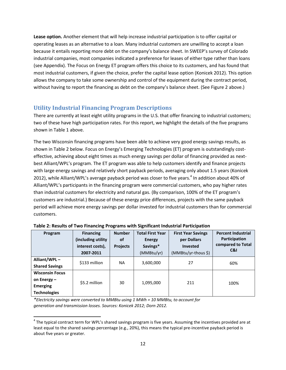**Lease option.** Another element that will help increase industrial participation is to offer capital or operating leases as an alternative to a loan. Many industrial customers are unwilling to accept a loan because it entails reporting more debt on the company's balance sheet. In SWEEP's survey of Colorado industrial companies, most companies indicated a preference for leases of either type rather than loans (see Appendix). The Focus on Energy ET program offers this choice to its customers, and has found that most industrial customers, if given the choice, prefer the capital lease option (Konicek 2012). This option allows the company to take some ownership and control of the equipment during the contract period, without having to report the financing as debt on the company's balance sheet. (See Figure 2 above.)

## <span id="page-15-0"></span>**Utility Industrial Financing Program Descriptions**

There are currently at least eight utility programs in the U.S. that offer financing to industrial customers; two of these have high participation rates. For this report, we highlight the details of the five programs shown in Table 1 above.

The two Wisconsin financing programs have been able to achieve very good energy savings results, as shown in Table 2 below. Focus on Energy's Emerging Technologies (ET) program is outstandingly costeffective, achieving about eight times as much energy savings per dollar of financing provided as nextbest Alliant/WPL's program. The ET program was able to help customers identify and finance projects with large energy savings and relatively short payback periods, averaging only about 1.5 years (Konicek 2012), while Alliant/WPL's average payback period was closer to five years.<sup>4</sup> In addition about 40% of Alliant/WPL's participants in the financing program were commercial customers, who pay higher rates than industrial customers for electricity and natural gas. (By comparison, 100% of the ET program's customers are industrial.) Because of these energy price differences, projects with the same payback period will achieve more energy savings per dollar invested for industrial customers than for commercial customers.

| Program                | <b>Financing</b><br>(including utility)<br>interest costs),<br>2007-2011 | <b>Number</b><br>οf<br><b>Projects</b> | <b>Total First Year</b><br><b>Energy</b><br>Savings*<br>(MMBtu/yr) | <b>First Year Savings</b><br>per Dollars<br><b>Invested</b><br>(MMBtu/yr-thous \$) | <b>Percent Industrial</b><br><b>Participation</b><br>compared to Total<br>C&I |
|------------------------|--------------------------------------------------------------------------|----------------------------------------|--------------------------------------------------------------------|------------------------------------------------------------------------------------|-------------------------------------------------------------------------------|
| Alliant/WPL-           | \$133 million                                                            | NA.                                    | 3,600,000                                                          | 27                                                                                 | 60%                                                                           |
| <b>Shared Savings</b>  |                                                                          |                                        |                                                                    |                                                                                    |                                                                               |
| <b>Wisconsin Focus</b> |                                                                          |                                        |                                                                    |                                                                                    |                                                                               |
| on Energy $-$          | \$5.2 million                                                            | 30                                     | 1,095,000                                                          | 211                                                                                | 100%                                                                          |
| <b>Emerging</b>        |                                                                          |                                        |                                                                    |                                                                                    |                                                                               |
| <b>Technologies</b>    |                                                                          |                                        |                                                                    |                                                                                    |                                                                               |

**Table 2: Results of Two Financing Programs with Significant Industrial Participation**

*\*Electricity savings were converted to MMBtu using 1 MWh = 10 MMBtu, to account for generation and transmission losses. Sources: Konicek 2012; Dorn 2012.*

 $\overline{\phantom{a}}$ 

<sup>&</sup>lt;sup>4</sup> The typical contract term for WPL's shared savings program is five years. Assuming the incentives provided are at least equal to the shared savings percentage (e.g., 20%), this means the typical pre-incentive payback period is about five years or greater.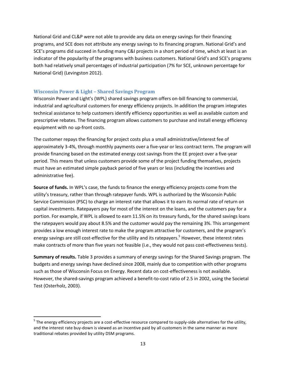National Grid and CL&P were not able to provide any data on energy savings for their financing programs, and SCE does not attribute any energy savings to its financing program. National Grid's and SCE's programs did succeed in funding many C&I projects in a short period of time, which at least is an indicator of the popularity of the programs with business customers. National Grid's and SCE's programs both had relatively small percentages of industrial participation (7% for SCE, unknown percentage for National Grid) (Levingston 2012).

#### <span id="page-16-0"></span>**Wisconsin Power & Light – Shared Savings Program**

 $\overline{\phantom{a}}$ 

Wisconsin Power and Light's (WPL) shared savings program offers on-bill financing to commercial, industrial and agricultural customers for energy efficiency projects. In addition the program integrates technical assistance to help customers identify efficiency opportunities as well as available custom and prescriptive rebates. The financing program allows customers to purchase and install energy efficiency equipment with no up-front costs.

The customer repays the financing for project costs plus a small administrative/interest fee of approximately 3-4%, through monthly payments over a five-year or less contract term. The program will provide financing based on the estimated energy cost savings from the EE project over a five-year period. This means that unless customers provide some of the project funding themselves, projects must have an estimated simple payback period of five years or less (including the incentives and administrative fee).

**Source of funds.** In WPL's case, the funds to finance the energy efficiency projects come from the utility's treasury, rather than through ratepayer funds. WPL is authorized by the Wisconsin Public Service Commission (PSC) to charge an interest rate that allows it to earn its normal rate of return on capital investments. Ratepayers pay for most of the interest on the loans, and the customers pay for a portion. For example, if WPL is allowed to earn 11.5% on its treasury funds, for the shared savings loans the ratepayers would pay about 8.5% and the customer would pay the remaining 3%. This arrangement provides a low enough interest rate to make the program attractive for customers, and the program's energy savings are still cost-effective for the utility and its ratepayers.<sup>5</sup> However, these interest rates make contracts of more than five years not feasible (i.e., they would not pass cost-effectiveness tests).

**Summary of results.** Table 3 provides a summary of energy savings for the Shared Savings program. The budgets and energy savings have declined since 2008, mainly due to competition with other programs such as those of Wisconsin Focus on Energy. Recent data on cost-effectiveness is not available. However, the shared-savings program achieved a benefit-to-cost ratio of 2.5 in 2002, using the Societal Test (Osterholz, 2003).

 $^5$  The energy efficiency projects are a cost-effective resource compared to supply-side alternatives for the utility, and the interest rate buy-down is viewed as an incentive paid by all customers in the same manner as more traditional rebates provided by utility DSM programs.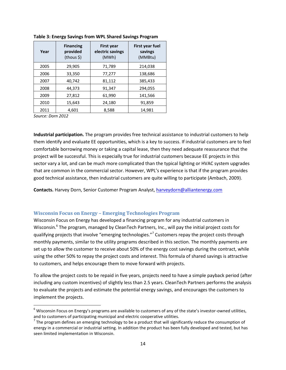| Year | <b>Financing</b><br>provided<br>(thous \$) | <b>First year</b><br>electric savings<br>(MWh) | <b>First year fuel</b><br>savings<br>(MMBtu) |
|------|--------------------------------------------|------------------------------------------------|----------------------------------------------|
| 2005 | 29,905                                     | 71,789                                         | 214,038                                      |
| 2006 | 33,350                                     | 77,277                                         | 138,686                                      |
| 2007 | 40,742                                     | 81,112                                         | 385,433                                      |
| 2008 | 44,373                                     | 91,347                                         | 294,055                                      |
| 2009 | 27,812                                     | 61,990                                         | 141,566                                      |
| 2010 | 15,643                                     | 24,180                                         | 91,859                                       |
| 2011 | 4.601                                      | 8,588                                          | 14,981                                       |

**Table 3: Energy Savings from WPL Shared Savings Program**

*Source: Dorn 2012*

l

**Industrial participation.** The program provides free technical assistance to industrial customers to help them identify and evaluate EE opportunities, which is a key to success. If industrial customers are to feel comfortable borrowing money or taking a capital lease, then they need adequate reassurance that the project will be successful. This is especially true for industrial customers because EE projects in this sector vary a lot, and can be much more complicated than the typical lighting or HVAC system upgrades that are common in the commercial sector. However, WPL's experience is that if the program provides good technical assistance, then industrial customers are quite willing to participate (Ambach, 2009).

**Contacts.** Harvey Dorn, Senior Customer Program Analyst, [harveydorn@alliantenergy.com](mailto:harveydorn@alliantenergy.com)

#### <span id="page-17-0"></span>**Wisconsin Focus on Energy – Emerging Technologies Program**

Wisconsin Focus on Energy has developed a financing program for any industrial customers in Wisconsin.<sup>6</sup> The program, managed by CleanTech Partners, Inc., will pay the initial project costs for qualifying projects that involve "emerging technologies."<sup>7</sup> Customers repay the project costs through monthly payments, similar to the utility programs described in this section. The monthly payments are set up to allow the customer to receive about 50% of the energy cost savings during the contract, while using the other 50% to repay the project costs and interest. This formula of shared savings is attractive to customers, and helps encourage them to move forward with projects.

To allow the project costs to be repaid in five years, projects need to have a simple payback period (after including any custom incentives) of slightly less than 2.5 years. CleanTech Partners performs the analysis to evaluate the projects and estimate the potential energy savings, and encourages the customers to implement the projects.

 $6$  Wisconsin Focus on Energy's programs are available to customers of any of the state's investor-owned utilities, and to customers of participating municipal and electric cooperative utilities.

 $^7$  The program defines an emerging technology to be a product that will significantly reduce the consumption of energy in a commercial or industrial setting. In addition the product has been fully developed and tested, but has seen limited implementation in Wisconsin.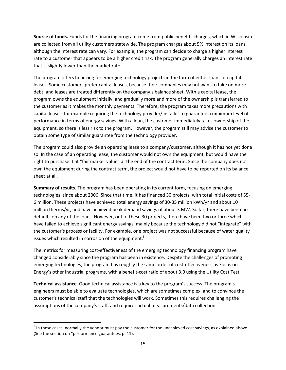**Source of funds.** Funds for the financing program come from public benefits charges, which in Wisconsin are collected from all utility customers statewide. The program charges about 5% interest on its loans, although the interest rate can vary. For example, the program can decide to charge a higher interest rate to a customer that appears to be a higher credit risk. The program generally charges an interest rate that is slightly lower than the market rate.

The program offers financing for emerging technology projects in the form of either loans or capital leases. Some customers prefer capital leases, because their companies may not want to take on more debt, and leases are treated differently on the company's balance sheet. With a capital lease, the program owns the equipment initially, and gradually more and more of the ownership is transferred to the customer as it makes the monthly payments. Therefore, the program takes more precautions with capital leases, for example requiring the technology provider/installer to guarantee a minimum level of performance in terms of energy savings. With a loan, the customer immediately takes ownership of the equipment, so there is less risk to the program. However, the program still may advise the customer to obtain some type of similar guarantee from the technology provider.

The program could also provide an operating lease to a company/customer, although it has not yet done so. In the case of an operating lease, the customer would not own the equipment, but would have the right to purchase it at "fair market value" at the end of the contract term. Since the company does not own the equipment during the contract term, the project would not have to be reported on its balance sheet at all.

**Summary of results.** The program has been operating in its current form, focusing on emerging technologies, since about 2006. Since that time, it has financed 30 projects, with total initial costs of \$5- 6 million. These projects have achieved total energy savings of 30-35 million kWh/yr and about 10 million therms/yr, and have achieved peak demand savings of about 3 MW. So far, there have been no defaults on any of the loans. However, out of these 30 projects, there have been two or three which have failed to achieve significant energy savings, mainly because the technology did not "integrate" with the customer's process or facility. For example, one project was not successful because of water quality issues which resulted in corrosion of the equipment. $^8$ 

The metrics for measuring cost-effectiveness of the emerging technology financing program have changed considerably since the program has been in existence. Despite the challenges of promoting emerging technologies, the program has roughly the same order of cost-effectiveness as Focus on Energy's other industrial programs, with a benefit-cost ratio of about 3.0 using the Utility Cost Test.

**Technical assistance.** Good technical assistance is a key to the program's success. The program's engineers must be able to evaluate technologies, which are sometimes complex, and to convince the customer's technical staff that the technologies will work. Sometimes this requires challenging the assumptions of the company's staff, and requires actual measurements/data collection.

l

 $^8$  In these cases, normally the vendor must pay the customer for the unachieved cost savings, as explained above (See the section on "performance guarantees, p. 11).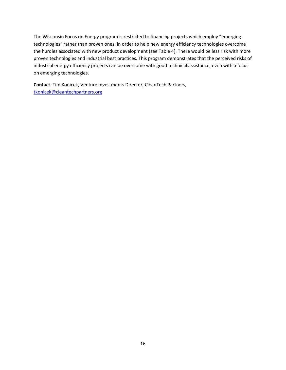The Wisconsin Focus on Energy program is restricted to financing projects which employ "emerging technologies" rather than proven ones, in order to help new energy efficiency technologies overcome the hurdles associated with new product development (see Table 4). There would be less risk with more proven technologies and industrial best practices. This program demonstrates that the perceived risks of industrial energy efficiency projects can be overcome with good technical assistance, even with a focus on emerging technologies.

**Contact.** Tim Konicek, Venture Investments Director, CleanTech Partners, [tkonicek@cleantechpartners.org](mailto:tkonicek@cleantechpartners.org)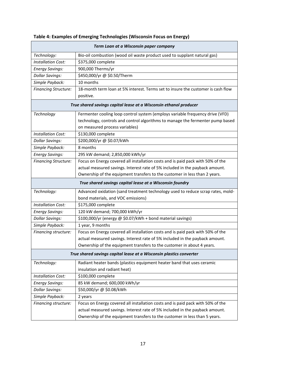|                                                                     | Term Loan at a Wisconsin paper company                                                        |  |  |
|---------------------------------------------------------------------|-----------------------------------------------------------------------------------------------|--|--|
| Technology:                                                         | Bio-oil combustion (wood oil waste product used to supplant natural gas)                      |  |  |
| <b>Installation Cost:</b>                                           | \$375,000 complete                                                                            |  |  |
| <b>Energy Savings:</b>                                              | 900,000 Therms/yr                                                                             |  |  |
| <b>Dollar Savings:</b>                                              | \$450,000/yr @ \$0.50/Therm                                                                   |  |  |
| Simple Payback:                                                     | 10 months                                                                                     |  |  |
| <b>Financing Structure:</b>                                         | 18-month term loan at 5% interest. Terms set to insure the customer is cash flow<br>positive. |  |  |
|                                                                     | True shared savings capital lease at a Wisconsin ethanol producer                             |  |  |
| Technology                                                          | Fermenter cooling loop control system (employs variable frequency drive (VFD)                 |  |  |
|                                                                     | technology, controls and control algorithms to manage the fermenter pump based                |  |  |
|                                                                     | on measured process variables)                                                                |  |  |
| <b>Installation Cost:</b>                                           | \$130,000 complete                                                                            |  |  |
| <b>Dollar Savings:</b>                                              | \$200,000/yr @ \$0.07/kWh                                                                     |  |  |
| Simple Payback:                                                     | 8 months                                                                                      |  |  |
| <b>Energy Savings:</b>                                              | 295 kW demand; 2,850,000 kWh/yr                                                               |  |  |
| <b>Financing Structure:</b>                                         | Focus on Energy covered all installation costs and is paid pack with 50% of the               |  |  |
|                                                                     | actual measured savings. Interest rate of 5% included in the payback amount.                  |  |  |
|                                                                     | Ownership of the equipment transfers to the customer in less than 2 years.                    |  |  |
| True shared savings capital lease at a Wisconsin foundry            |                                                                                               |  |  |
| Technology:                                                         | Advanced oxidation (sand treatment technology used to reduce scrap rates, mold-               |  |  |
|                                                                     | bond materials, and VOC emissions)                                                            |  |  |
| <b>Installation Cost:</b>                                           | \$175,000 complete                                                                            |  |  |
| <b>Energy Savings:</b>                                              | 120 kW demand; 700,000 kWh/yr                                                                 |  |  |
| <b>Dollar Savings:</b>                                              | \$100,000/yr (energy @ \$0.07/kWh + bond material savings)                                    |  |  |
| Simple Payback:                                                     | 1 year, 9 months                                                                              |  |  |
| Financing structure:                                                | Focus on Energy covered all installation costs and is paid pack with 50% of the               |  |  |
|                                                                     | actual measured savings. Interest rate of 5% included in the payback amount.                  |  |  |
|                                                                     | Ownership of the equipment transfers to the customer in about 4 years.                        |  |  |
| True shared savings capital lease at a Wisconsin plastics converter |                                                                                               |  |  |
| Technology:                                                         | Radiant heater bands (plastics equipment heater band that uses ceramic                        |  |  |
|                                                                     | insulation and radiant heat)                                                                  |  |  |
| <b>Installation Cost:</b>                                           | \$100,000 complete                                                                            |  |  |
| <b>Energy Savings:</b>                                              | 85 kW demand; 600,000 kWh/yr                                                                  |  |  |
| <b>Dollar Savings:</b>                                              | \$50,000/yr @ \$0.08/kWh                                                                      |  |  |
| Simple Payback:                                                     | 2 years                                                                                       |  |  |
| Financing structure:                                                | Focus on Energy covered all installation costs and is paid pack with 50% of the               |  |  |
|                                                                     | actual measured savings. Interest rate of 5% included in the payback amount.                  |  |  |
|                                                                     | Ownership of the equipment transfers to the customer in less than 5 years.                    |  |  |

# **Table 4: Examples of Emerging Technologies (Wisconsin Focus on Energy)**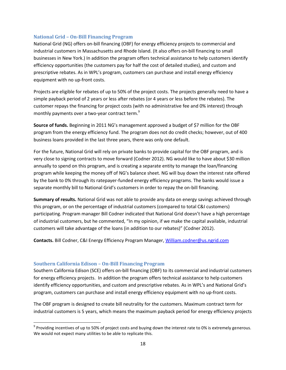#### <span id="page-21-0"></span>**National Grid – On-Bill Financing Program**

National Grid (NG) offers on-bill financing (OBF) for energy efficiency projects to commercial and industrial customers in Massachusetts and Rhode Island. (It also offers on-bill financing to small businesses in New York.) In addition the program offers technical assistance to help customers identify efficiency opportunities (the customers pay for half the cost of detailed studies), and custom and prescriptive rebates. As in WPL's program, customers can purchase and install energy efficiency equipment with no up-front costs.

Projects are eligible for rebates of up to 50% of the project costs. The projects generally need to have a simple payback period of 2 years or less after rebates (or 4 years or less before the rebates). The customer repays the financing for project costs (with no administrative fee and 0% interest) through monthly payments over a two-year contract term.<sup>9</sup>

**Source of funds.** Beginning in 2011 NG's management approved a budget of \$7 million for the OBF program from the energy efficiency fund. The program does not do credit checks; however, out of 400 business loans provided in the last three years, there was only one default.

For the future, National Grid will rely on private banks to provide capital for the OBF program, and is very close to signing contracts to move forward (Codner 2012). NG would like to have about \$30 million annually to spend on this program, and is creating a separate entity to manage the loan/financing program while keeping the money off of NG's balance sheet. NG will buy down the interest rate offered by the bank to 0% through its ratepayer-funded energy efficiency programs. The banks would issue a separate monthly bill to National Grid's customers in order to repay the on-bill financing.

**Summary of results.** National Grid was not able to provide any data on energy savings achieved through this program, or on the percentage of industrial customers (compared to total C&I customers) participating. Program manager Bill Codner indicated that National Grid doesn't have a high percentage of industrial customers, but he commented, "In my opinion, if we make the capital available, industrial customers will take advantage of the loans (in addition to our rebates)" (Codner 2012).

**Contacts.** Bill Codner, C&I Energy Efficiency Program Manager, [William.codner@us.ngrid.com](mailto:William.codner@us.ngrid.com)

#### <span id="page-21-1"></span>**Southern California Edison – On-Bill Financing Program**

l

Southern California Edison (SCE) offers on-bill financing (OBF) to its commercial and industrial customers for energy efficiency projects. In addition the program offers technical assistance to help customers identify efficiency opportunities, and custom and prescriptive rebates. As in WPL's and National Grid's program, customers can purchase and install energy efficiency equipment with no up-front costs.

The OBF program is designed to create bill neutrality for the customers. Maximum contract term for industrial customers is 5 years, which means the maximum payback period for energy efficiency projects

 $^9$  Providing incentives of up to 50% of project costs and buying down the interest rate to 0% is extremely generous. We would not expect many utilities to be able to replicate this.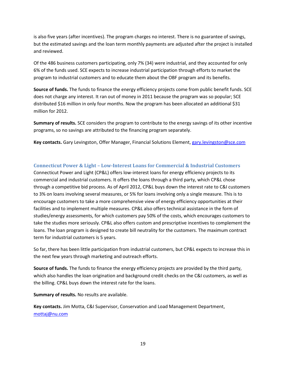is also five years (after incentives). The program charges no interest. There is no guarantee of savings, but the estimated savings and the loan term monthly payments are adjusted after the project is installed and reviewed.

Of the 486 business customers participating, only 7% (34) were industrial, and they accounted for only 6% of the funds used. SCE expects to increase industrial participation through efforts to market the program to industrial customers and to educate them about the OBF program and its benefits.

**Source of funds.** The funds to finance the energy efficiency projects come from public benefit funds. SCE does not charge any interest. It ran out of money in 2011 because the program was so popular; SCE distributed \$16 million in only four months. Now the program has been allocated an additional \$31 million for 2012.

**Summary of results.** SCE considers the program to contribute to the energy savings of its other incentive programs, so no savings are attributed to the financing program separately.

**Key contacts.** Gary Levingston, Offer Manager, Financial Solutions Element, [gary.levingston@sce.com](mailto:gary.levingston@sce.com)

## <span id="page-22-0"></span>**Connecticut Power & Light – Low-Interest Loans for Commercial & Industrial Customers**

Connecticut Power and Light (CP&L) offers low-interest loans for energy efficiency projects to its commercial and industrial customers. It offers the loans through a third party, which CP&L chose through a competitive bid process. As of April 2012, CP&L buys down the interest rate to C&I customers to 3% on loans involving several measures, or 5% for loans involving only a single measure. This is to encourage customers to take a more comprehensive view of energy efficiency opportunities at their facilities and to implement multiple measures. CP&L also offers technical assistance in the form of studies/energy assessments, for which customers pay 50% of the costs, which encourages customers to take the studies more seriously. CP&L also offers custom and prescriptive incentives to complement the loans. The loan program is designed to create bill neutrality for the customers. The maximum contract term for industrial customers is 5 years.

So far, there has been little participation from industrial customers, but CP&L expects to increase this in the next few years through marketing and outreach efforts.

**Source of funds.** The funds to finance the energy efficiency projects are provided by the third party, which also handles the loan origination and background credit checks on the C&I customers, as well as the billing. CP&L buys down the interest rate for the loans.

**Summary of results.** No results are available.

**Key contacts.** Jim Motta, C&I Supervisor, Conservation and Load Management Department, [mottaj@nu.com](mailto:mottaj@nu.com)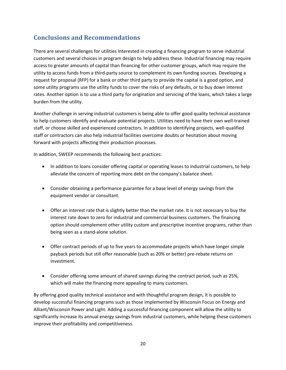# <span id="page-23-0"></span>**Conclusions and Recommendations**

There are several challenges for utilities interested in creating a financing program to serve industrial customers and several choices in program design to help address these. Industrial financing may require access to greater amounts of capital than financing for other customer groups, which may require the utility to access funds from a third-party source to complement its own funding sources. Developing a request for proposal (RFP) for a bank or other third party to provide the capital is a good option, and some utility programs use the utility funds to cover the risks of any defaults, or to buy down interest rates. Another option is to use a third party for origination and servicing of the loans, which takes a large burden from the utility.

Another challenge in serving industrial customers is being able to offer good quality technical assistance to help customers identify and evaluate potential projects. Utilities need to have their own well-trained staff, or choose skilled and experienced contractors. In addition to identifying projects, well-qualified staff or contractors can also help industrial facilities overcome doubts or hesitation about moving forward with projects affecting their production processes.

In addition, SWEEP recommends the following best practices:

- In addition to loans consider offering capital or operating leases to industrial customers, to help alleviate the concern of reporting more debt on the company's balance sheet.
- Consider obtaining a performance guarantee for a base level of energy savings from the equipment vendor or consultant.
- Offer an interest rate that is slightly better than the market rate. It is not necessary to buy the interest rate down to zero for industrial and commercial business customers. The financing option should complement other utility custom and prescriptive incentive programs, rather than being seen as a stand-alone solution.
- Offer contract periods of up to five years to accommodate projects which have longer simple payback periods but still offer reasonable (such as 20% or better) pre-rebate returns on investment.
- Consider offering some amount of shared savings during the contract period, such as 25%, which will make the financing more appealing to many customers.

By offering good quality technical assistance and with thoughtful program design, it is possible to develop successful financing programs such as those implemented by Wisconsin Focus on Energy and Alliant/Wisconsin Power and Light. Adding a successful financing component will allow the utility to significantly increase its annual energy savings from industrial customers, while helping these customers improve their profitability and competitiveness.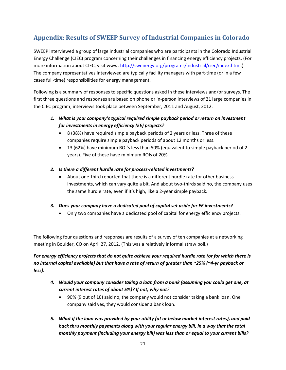# <span id="page-24-0"></span>**Appendix: Results of SWEEP Survey of Industrial Companies in Colorado**

SWEEP interviewed a group of large industrial companies who are participants in the Colorado Industrial Energy Challenge (CIEC) program concerning their challenges in financing energy efficiency projects. (For more information about CIEC, visit www. [http://swenergy.org/programs/industrial/ciec/index.html.](http://swenergy.org/programs/industrial/ciec/index.html)) The company representatives interviewed are typically facility managers with part-time (or in a few cases full-time) responsibilities for energy management.

Following is a summary of responses to specific questions asked in these interviews and/or surveys. The first three questions and responses are based on phone or in-person interviews of 21 large companies in the CIEC program; interviews took place between September, 2011 and August, 2012.

- *1. What is your company's typical required simple payback period or return on investment for investments in energy efficiency (EE) projects?* 
	- 8 (38%) have required simple payback periods of 2 years or less. Three of these companies require simple payback periods of about 12 months or less.
	- 13 (62%) have minimum ROI's less than 50% (equivalent to simple payback period of 2 years). Five of these have minimum ROIs of 20%.
- *2. Is there a different hurdle rate for process-related investments?*
	- About one-third reported that there is a different hurdle rate for other business investments, which can vary quite a bit. And about two-thirds said no, the company uses the same hurdle rate, even if it's high, like a 2-year simple payback.
- *3. Does your company have a dedicated pool of capital set aside for EE investments?*
	- Only two companies have a dedicated pool of capital for energy efficiency projects.

The following four questions and responses are results of a survey of ten companies at a networking meeting in Boulder, CO on April 27, 2012. (This was a relatively informal straw poll.)

## *For energy efficiency projects that do not quite achieve your required hurdle rate (or for which there is no internal capital available) but that have a rate of return of greater than ~25% (~4-yr payback or less):*

- *4. Would your company consider taking a loan from a bank (assuming you could get one, at current interest rates of about 5%)? If not, why not?* 
	- 90% (9 out of 10) said no, the company would not consider taking a bank loan. One company said yes, they would consider a bank loan.
- *5. What if the loan was provided by your utility (at or below market interest rates), and paid back thru monthly payments along with your regular energy bill, in a way that the total monthly payment (including your energy bill) was less than or equal to your current bills?*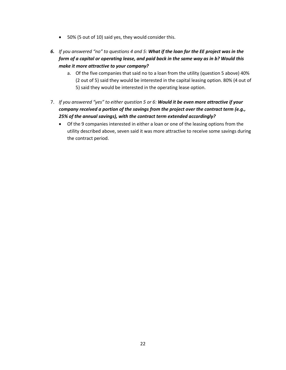- 50% (5 out of 10) said yes, they would consider this.
- *6. If you answered "no" to questions 4 and 5: What if the loan for the EE project was in the form of a capital or operating lease, and paid back in the same way as in b? Would this make it more attractive to your company?* 
	- a. Of the five companies that said no to a loan from the utility (question 5 above) 40% (2 out of 5) said they would be interested in the capital leasing option. 80% (4 out of 5) said they would be interested in the operating lease option.
- 7. *If you answered "yes" to either question 5 or 6: Would it be even more attractive if your company received a portion of the savings from the project over the contract term (e.g., 25% of the annual savings), with the contract term extended accordingly?*
	- Of the 9 companies interested in either a loan or one of the leasing options from the utility described above, seven said it was more attractive to receive some savings during the contract period.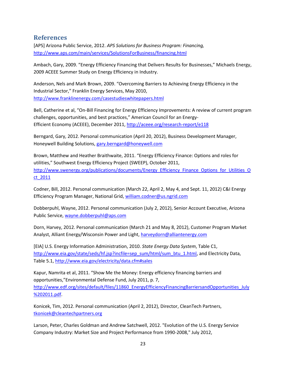# <span id="page-26-0"></span>**References**

[APS] Arizona Public Service, 2012. *APS Solutions for Business Program: Financing,*  <http://www.aps.com/main/services/SolutionsForBusiness/financing.html>

Ambach, Gary, 2009. "Energy Efficiency Financing that Delivers Results for Businesses," Michaels Energy, 2009 ACEEE Summer Study on Energy Efficiency in Industry.

Anderson, Nels and Mark Brown, 2009. "Overcoming Barriers to Achieving Energy Efficiency in the Industrial Sector," Franklin Energy Services, May 2010, <http://www.franklinenergy.com/casestudieswhitepapers.html>

Bell, Catherine et al, "On-Bill Financing for Energy Efficiency Improvements: A review of current program challenges, opportunities, and best practices," American Council for an Energy-Efficient Economy (ACEEE), December 2011,<http://aceee.org/research-report/e118>

Berngard, Gary, 2012. Personal communication (April 20, 2012), Business Development Manager, Honeywell Building Solutions, [gary.berngard@honeywell.com](mailto:gary.berngard@honeywell.com)

Brown, Matthew and Heather Braithwaite, 2011. "Energy Efficiency Finance: Options and roles for utilities," Southwest Energy Efficiency Project (SWEEP), October 2011, [http://www.swenergy.org/publications/documents/Energy\\_Efficiency\\_Finance\\_Options\\_for\\_Utilities\\_O](http://www.swenergy.org/publications/documents/Energy_Efficiency_Finance_Options_for_Utilities_Oct_2011) [ct\\_2011](http://www.swenergy.org/publications/documents/Energy_Efficiency_Finance_Options_for_Utilities_Oct_2011)

Codner, Bill, 2012. Personal communication (March 22, April 2, May 4, and Sept. 11, 2012) C&I Energy Efficiency Program Manager, National Grid, [william.codner@us.ngrid.com](mailto:william.codner@us.ngrid.com)

Dobberpuhl, Wayne, 2012. Personal communication (July 2, 2012), Senior Account Executive, Arizona Public Service[, wayne.dobberpuhl@aps.com](mailto:wayne.dobberpuhl@aps.com)

Dorn, Harvey, 2012. Personal communication (March 21 and May 8, 2012), Customer Program Market Analyst, Alliant Energy/Wisconsin Power and Light[, harveydorn@alliantenergy.com](mailto:harveydorn@alliantenergy.com) 

[EIA] U.S. Energy Information Administration, 2010. *State Energy Data System*, Table C1, [http://www.eia.gov/state/seds/hf.jsp?incfile=sep\\_sum/html/sum\\_btu\\_1.html,](http://www.eia.gov/state/seds/hf.jsp?incfile=sep_sum/html/sum_btu_1.html) and Electricity Data, Table 5.1, <http://www.eia.gov/electricity/data.cfm#sales>

Kapur, Namrita et al, 2011. "Show Me the Money: Energy efficiency financing barriers and opportunities,"Environmental Defense Fund, July 2011, p. 7, http://www.edf.org/sites/default/files/11860 EnergyEfficiencyFinancingBarriersandOpportunities July [%202011.pdf.](http://www.edf.org/sites/default/files/11860_EnergyEfficiencyFinancingBarriersandOpportunities_July%202011.pdf)

Konicek, Tim, 2012. Personal communication (April 2, 2012), Director, CleanTech Partners, [tkonicek@cleantechpartners.org](mailto:tkonicek@cleantechpartners.org)

Larson, Peter, Charles Goldman and Andrew Satchwell, 2012. "Evolution of the U.S. Energy Service Company Industry: Market Size and Project Performance from 1990-2008," July 2012,